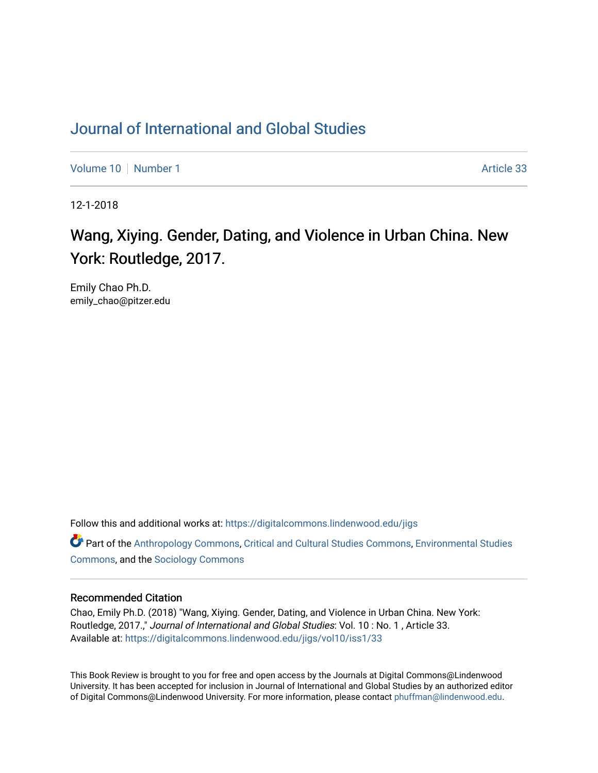## [Journal of International and Global Studies](https://digitalcommons.lindenwood.edu/jigs)

[Volume 10](https://digitalcommons.lindenwood.edu/jigs/vol10) [Number 1](https://digitalcommons.lindenwood.edu/jigs/vol10/iss1) Article 33

12-1-2018

## Wang, Xiying. Gender, Dating, and Violence in Urban China. New York: Routledge, 2017.

Emily Chao Ph.D. emily\_chao@pitzer.edu

Follow this and additional works at: [https://digitalcommons.lindenwood.edu/jigs](https://digitalcommons.lindenwood.edu/jigs?utm_source=digitalcommons.lindenwood.edu%2Fjigs%2Fvol10%2Fiss1%2F33&utm_medium=PDF&utm_campaign=PDFCoverPages) 

**C** Part of the [Anthropology Commons](http://network.bepress.com/hgg/discipline/318?utm_source=digitalcommons.lindenwood.edu%2Fjigs%2Fvol10%2Fiss1%2F33&utm_medium=PDF&utm_campaign=PDFCoverPages), [Critical and Cultural Studies Commons](http://network.bepress.com/hgg/discipline/328?utm_source=digitalcommons.lindenwood.edu%2Fjigs%2Fvol10%2Fiss1%2F33&utm_medium=PDF&utm_campaign=PDFCoverPages), Environmental Studies [Commons](http://network.bepress.com/hgg/discipline/1333?utm_source=digitalcommons.lindenwood.edu%2Fjigs%2Fvol10%2Fiss1%2F33&utm_medium=PDF&utm_campaign=PDFCoverPages), and the [Sociology Commons](http://network.bepress.com/hgg/discipline/416?utm_source=digitalcommons.lindenwood.edu%2Fjigs%2Fvol10%2Fiss1%2F33&utm_medium=PDF&utm_campaign=PDFCoverPages)

## Recommended Citation

Chao, Emily Ph.D. (2018) "Wang, Xiying. Gender, Dating, and Violence in Urban China. New York: Routledge, 2017.," Journal of International and Global Studies: Vol. 10: No. 1, Article 33. Available at: [https://digitalcommons.lindenwood.edu/jigs/vol10/iss1/33](https://digitalcommons.lindenwood.edu/jigs/vol10/iss1/33?utm_source=digitalcommons.lindenwood.edu%2Fjigs%2Fvol10%2Fiss1%2F33&utm_medium=PDF&utm_campaign=PDFCoverPages) 

This Book Review is brought to you for free and open access by the Journals at Digital Commons@Lindenwood University. It has been accepted for inclusion in Journal of International and Global Studies by an authorized editor of Digital Commons@Lindenwood University. For more information, please contact [phuffman@lindenwood.edu](mailto:phuffman@lindenwood.edu).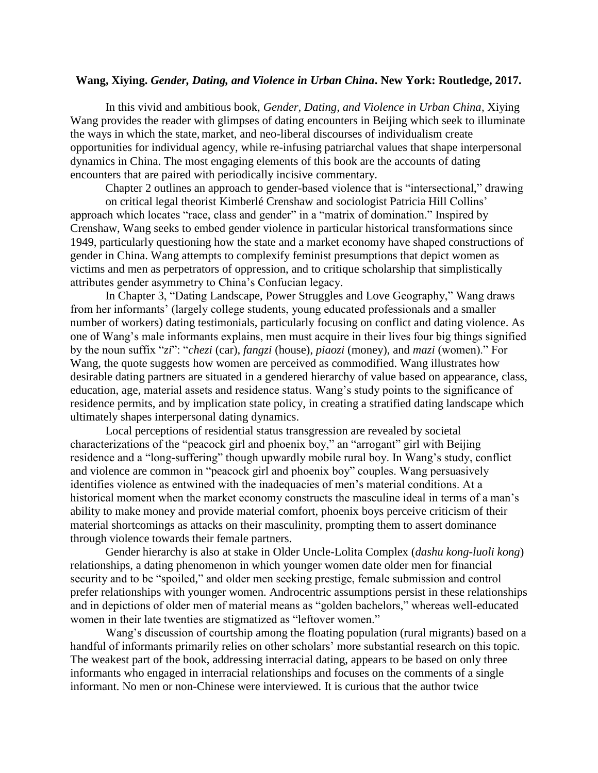## **Wang, Xiying.** *Gender, Dating, and Violence in Urban China***. New York: Routledge, 2017.**

In this vivid and ambitious book, *Gender, Dating, and Violence in Urban China,* Xiying Wang provides the reader with glimpses of dating encounters in Beijing which seek to illuminate the ways in which the state,market, and neo-liberal discourses of individualism create opportunities for individual agency, while re-infusing patriarchal values that shape interpersonal dynamics in China. The most engaging elements of this book are the accounts of dating encounters that are paired with periodically incisive commentary.

Chapter 2 outlines an approach to gender-based violence that is "intersectional," drawing on critical legal theorist Kimberlé Crenshaw and sociologist Patricia Hill Collins' approach which locates "race, class and gender" in a "matrix of domination." Inspired by Crenshaw, Wang seeks to embed gender violence in particular historical transformations since 1949, particularly questioning how the state and a market economy have shaped constructions of gender in China. Wang attempts to complexify feminist presumptions that depict women as victims and men as perpetrators of oppression, and to critique scholarship that simplistically attributes gender asymmetry to China's Confucian legacy.

In Chapter 3, "Dating Landscape, Power Struggles and Love Geography," Wang draws from her informants' (largely college students, young educated professionals and a smaller number of workers) dating testimonials, particularly focusing on conflict and dating violence. As one of Wang's male informants explains, men must acquire in their lives four big things signified by the noun suffix "*zi*": "*chezi* (car), *fangzi* (house), *piaozi* (money), and *mazi* (women)." For Wang, the quote suggests how women are perceived as commodified. Wang illustrates how desirable dating partners are situated in a gendered hierarchy of value based on appearance, class, education, age, material assets and residence status. Wang's study points to the significance of residence permits, and by implication state policy, in creating a stratified dating landscape which ultimately shapes interpersonal dating dynamics.

Local perceptions of residential status transgression are revealed by societal characterizations of the "peacock girl and phoenix boy," an "arrogant" girl with Beijing residence and a "long-suffering" though upwardly mobile rural boy. In Wang's study, conflict and violence are common in "peacock girl and phoenix boy" couples. Wang persuasively identifies violence as entwined with the inadequacies of men's material conditions. At a historical moment when the market economy constructs the masculine ideal in terms of a man's ability to make money and provide material comfort, phoenix boys perceive criticism of their material shortcomings as attacks on their masculinity, prompting them to assert dominance through violence towards their female partners.

Gender hierarchy is also at stake in Older Uncle-Lolita Complex (*dashu kong-luoli kong*) relationships, a dating phenomenon in which younger women date older men for financial security and to be "spoiled," and older men seeking prestige, female submission and control prefer relationships with younger women. Androcentric assumptions persist in these relationships and in depictions of older men of material means as "golden bachelors," whereas well-educated women in their late twenties are stigmatized as "leftover women."

Wang's discussion of courtship among the floating population (rural migrants) based on a handful of informants primarily relies on other scholars' more substantial research on this topic. The weakest part of the book, addressing interracial dating, appears to be based on only three informants who engaged in interracial relationships and focuses on the comments of a single informant. No men or non-Chinese were interviewed. It is curious that the author twice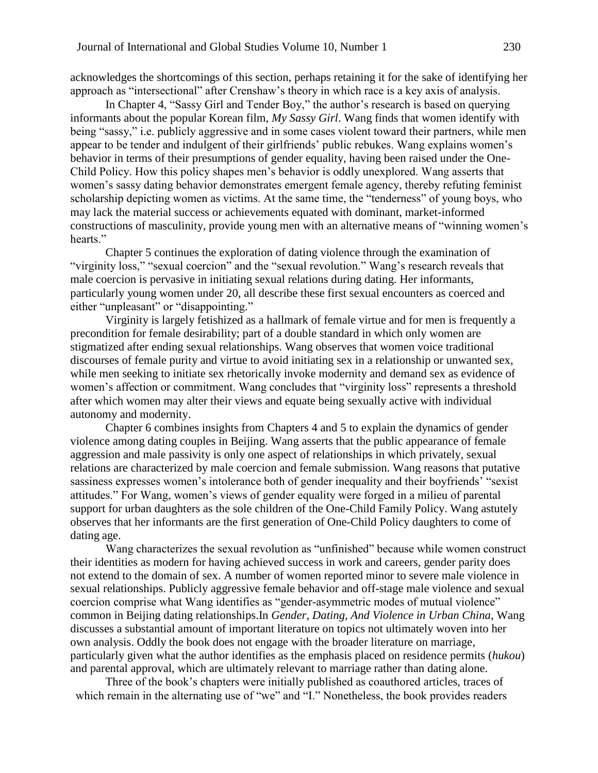acknowledges the shortcomings of this section, perhaps retaining it for the sake of identifying her approach as "intersectional" after Crenshaw's theory in which race is a key axis of analysis.

In Chapter 4, "Sassy Girl and Tender Boy," the author's research is based on querying informants about the popular Korean film, *My Sassy Girl*. Wang finds that women identify with being "sassy," i.e. publicly aggressive and in some cases violent toward their partners, while men appear to be tender and indulgent of their girlfriends' public rebukes. Wang explains women's behavior in terms of their presumptions of gender equality, having been raised under the One-Child Policy. How this policy shapes men's behavior is oddly unexplored. Wang asserts that women's sassy dating behavior demonstrates emergent female agency, thereby refuting feminist scholarship depicting women as victims. At the same time, the "tenderness" of young boys, who may lack the material success or achievements equated with dominant, market-informed constructions of masculinity, provide young men with an alternative means of "winning women's hearts."

Chapter 5 continues the exploration of dating violence through the examination of "virginity loss," "sexual coercion" and the "sexual revolution." Wang's research reveals that male coercion is pervasive in initiating sexual relations during dating. Her informants, particularly young women under 20, all describe these first sexual encounters as coerced and either "unpleasant" or "disappointing."

Virginity is largely fetishized as a hallmark of female virtue and for men is frequently a precondition for female desirability; part of a double standard in which only women are stigmatized after ending sexual relationships. Wang observes that women voice traditional discourses of female purity and virtue to avoid initiating sex in a relationship or unwanted sex, while men seeking to initiate sex rhetorically invoke modernity and demand sex as evidence of women's affection or commitment. Wang concludes that "virginity loss" represents a threshold after which women may alter their views and equate being sexually active with individual autonomy and modernity.

Chapter 6 combines insights from Chapters 4 and 5 to explain the dynamics of gender violence among dating couples in Beijing. Wang asserts that the public appearance of female aggression and male passivity is only one aspect of relationships in which privately, sexual relations are characterized by male coercion and female submission. Wang reasons that putative sassiness expresses women's intolerance both of gender inequality and their boyfriends' "sexist attitudes." For Wang, women's views of gender equality were forged in a milieu of parental support for urban daughters as the sole children of the One-Child Family Policy. Wang astutely observes that her informants are the first generation of One-Child Policy daughters to come of dating age.

Wang characterizes the sexual revolution as "unfinished" because while women construct their identities as modern for having achieved success in work and careers, gender parity does not extend to the domain of sex. A number of women reported minor to severe male violence in sexual relationships. Publicly aggressive female behavior and off-stage male violence and sexual coercion comprise what Wang identifies as "gender-asymmetric modes of mutual violence" common in Beijing dating relationships.In *Gender, Dating, And Violence in Urban China*, Wang discusses a substantial amount of important literature on topics not ultimately woven into her own analysis. Oddly the book does not engage with the broader literature on marriage, particularly given what the author identifies as the emphasis placed on residence permits (*hukou*) and parental approval, which are ultimately relevant to marriage rather than dating alone.

Three of the book's chapters were initially published as coauthored articles, traces of which remain in the alternating use of "we" and "I." Nonetheless, the book provides readers